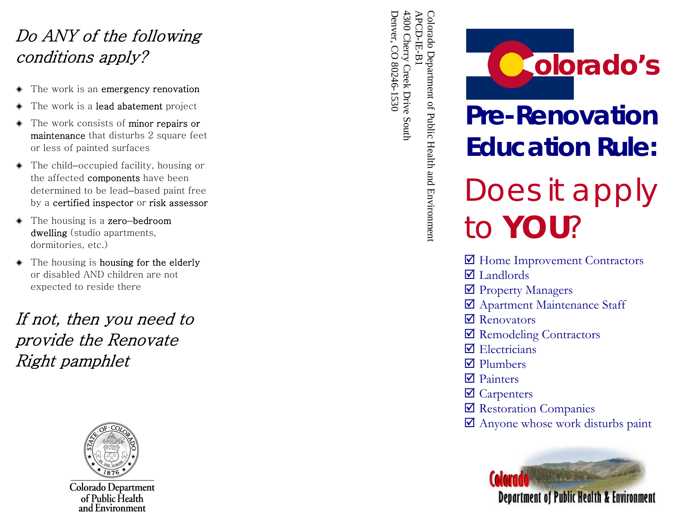## Do ANY of the following conditions apply?

- The work is an emergency renovation
- The work is a lead abatement project
- The work consists of minor repairs or maintenance that disturbs 2 square feet or less of painted surfaces
- ◈ The child –occupied facility, housing or the affected components have been determined to be lead –based paint free by a certified inspector or risk assessor
- ◆ The housing is a **zero-bedroom** dwelling (studio apartments, dormitories, etc.)
- The housing is housing for the elderly or disabled AND children are not expected to reside there

If not, then you need to provide the Renovate Right pamphlet



Colorado Department of Public Health and Environment

Denver, CO 80246-1530 Denver, CO 80246-1530 4300 Cherry Creek Drive South 4300 Cherry Creek Drive South APCD-IE-B1 APCD-IE-B1



## **Pre-Renovation Education Rule:**

# Does it apply to *YOU*?

- $\blacksquare$  Home Improvement Contractors
- $\overline{\mathbf{z}}$  Landlords
- $\blacksquare$  Property Managers
- $\triangledown$  Apartment Maintenance Staff
- $\nabla$  Renovators
- $\blacksquare$  Remodeling Contractors
- $\triangledown$  Electricians
- $\nabla$  Plumbers
- $\n **Plin**  $\mathbf{F}$$
- $\triangledown$  Carpenters
- $\blacksquare$  Restoration Companies
- $\blacksquare$  Anyone whose work disturbs paint